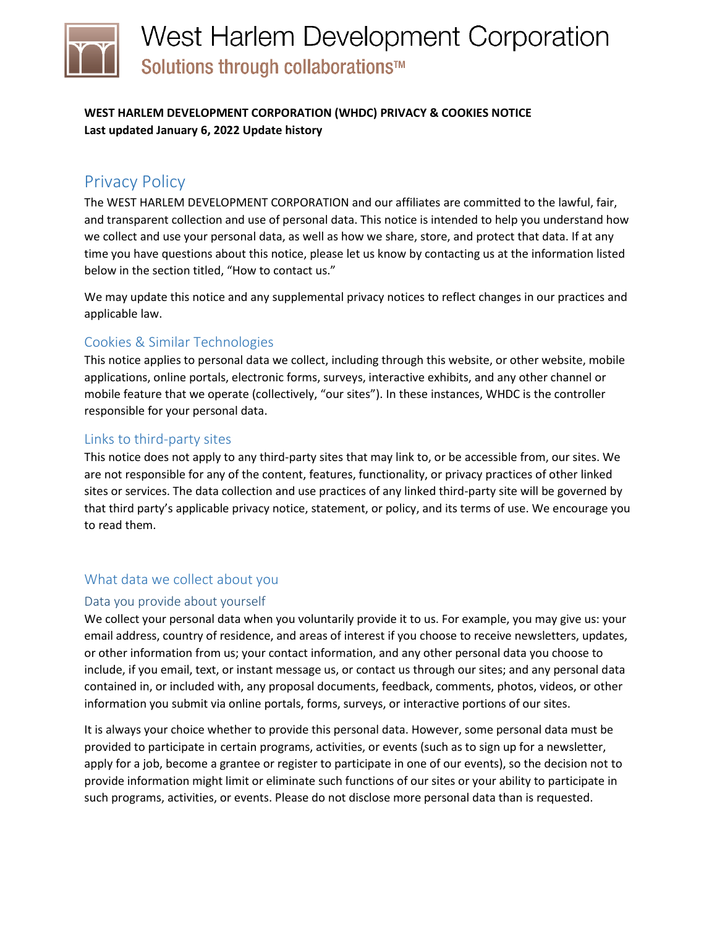# West Harlem Development Corporation Solutions through collaborations™

## **WEST HARLEM DEVELOPMENT CORPORATION (WHDC) PRIVACY & COOKIES NOTICE Last updated January 6, 2022 Update history**

## Privacy Policy

The WEST HARLEM DEVELOPMENT CORPORATION and our affiliates are committed to the lawful, fair, and transparent collection and use of personal data. This notice is intended to help you understand how we collect and use your personal data, as well as how we share, store, and protect that data. If at any time you have questions about this notice, please let us know by contacting us at the information listed below in the section titled, "How to contact us."

We may update this notice and any supplemental privacy notices to reflect changes in our practices and applicable law.

## Cookies & Similar Technologies

This notice applies to personal data we collect, including through this website, or other website, mobile applications, online portals, electronic forms, surveys, interactive exhibits, and any other channel or mobile feature that we operate (collectively, "our sites"). In these instances, WHDC is the controller responsible for your personal data.

## Links to third-party sites

This notice does not apply to any third-party sites that may link to, or be accessible from, our sites. We are not responsible for any of the content, features, functionality, or privacy practices of other linked sites or services. The data collection and use practices of any linked third-party site will be governed by that third party's applicable privacy notice, statement, or policy, and its terms of use. We encourage you to read them.

## What data we collect about you

## Data you provide about yourself

We collect your personal data when you voluntarily provide it to us. For example, you may give us: your email address, country of residence, and areas of interest if you choose to receive newsletters, updates, or other information from us; your contact information, and any other personal data you choose to include, if you email, text, or instant message us, or contact us through our sites; and any personal data contained in, or included with, any proposal documents, feedback, comments, photos, videos, or other information you submit via online portals, forms, surveys, or interactive portions of our sites.

It is always your choice whether to provide this personal data. However, some personal data must be provided to participate in certain programs, activities, or events (such as to sign up for a newsletter, apply for a job, become a grantee or register to participate in one of our events), so the decision not to provide information might limit or eliminate such functions of our sites or your ability to participate in such programs, activities, or events. Please do not disclose more personal data than is requested.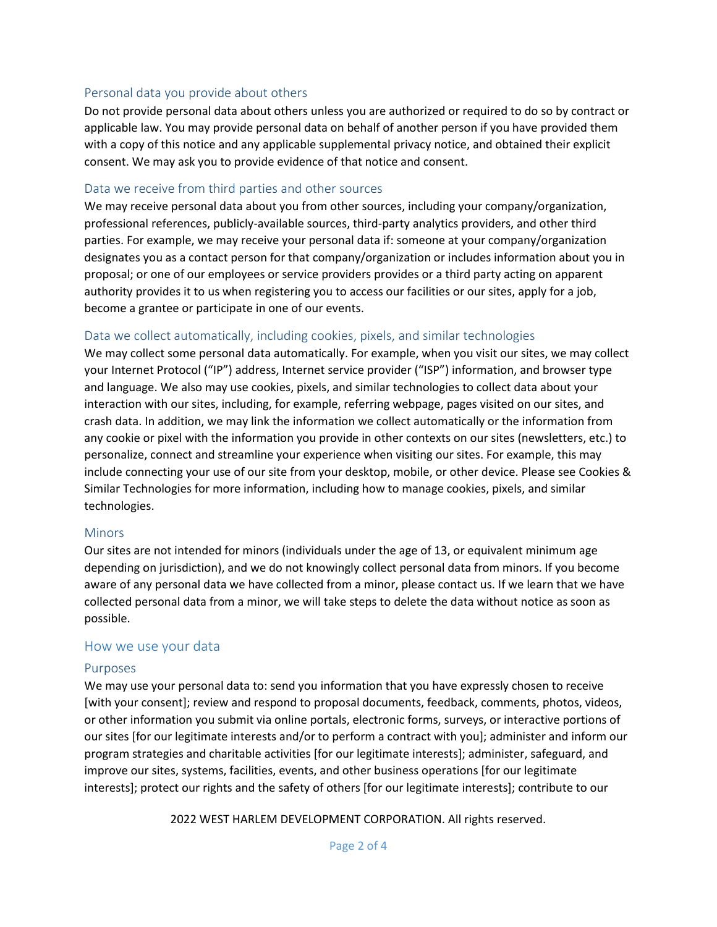## Personal data you provide about others

Do not provide personal data about others unless you are authorized or required to do so by contract or applicable law. You may provide personal data on behalf of another person if you have provided them with a copy of this notice and any applicable supplemental privacy notice, and obtained their explicit consent. We may ask you to provide evidence of that notice and consent.

#### Data we receive from third parties and other sources

We may receive personal data about you from other sources, including your company/organization, professional references, publicly-available sources, third-party analytics providers, and other third parties. For example, we may receive your personal data if: someone at your company/organization designates you as a contact person for that company/organization or includes information about you in proposal; or one of our employees or service providers provides or a third party acting on apparent authority provides it to us when registering you to access our facilities or our sites, apply for a job, become a grantee or participate in one of our events.

## Data we collect automatically, including cookies, pixels, and similar technologies

We may collect some personal data automatically. For example, when you visit our sites, we may collect your Internet Protocol ("IP") address, Internet service provider ("ISP") information, and browser type and language. We also may use cookies, pixels, and similar technologies to collect data about your interaction with our sites, including, for example, referring webpage, pages visited on our sites, and crash data. In addition, we may link the information we collect automatically or the information from any cookie or pixel with the information you provide in other contexts on our sites (newsletters, etc.) to personalize, connect and streamline your experience when visiting our sites. For example, this may include connecting your use of our site from your desktop, mobile, or other device. Please see Cookies & Similar Technologies for more information, including how to manage cookies, pixels, and similar technologies.

#### Minors

Our sites are not intended for minors (individuals under the age of 13, or equivalent minimum age depending on jurisdiction), and we do not knowingly collect personal data from minors. If you become aware of any personal data we have collected from a minor, please contact us. If we learn that we have collected personal data from a minor, we will take steps to delete the data without notice as soon as possible.

## How we use your data

#### Purposes

We may use your personal data to: send you information that you have expressly chosen to receive [with your consent]; review and respond to proposal documents, feedback, comments, photos, videos, or other information you submit via online portals, electronic forms, surveys, or interactive portions of our sites [for our legitimate interests and/or to perform a contract with you]; administer and inform our program strategies and charitable activities [for our legitimate interests]; administer, safeguard, and improve our sites, systems, facilities, events, and other business operations [for our legitimate interests]; protect our rights and the safety of others [for our legitimate interests]; contribute to our

2022 WEST HARLEM DEVELOPMENT CORPORATION. All rights reserved.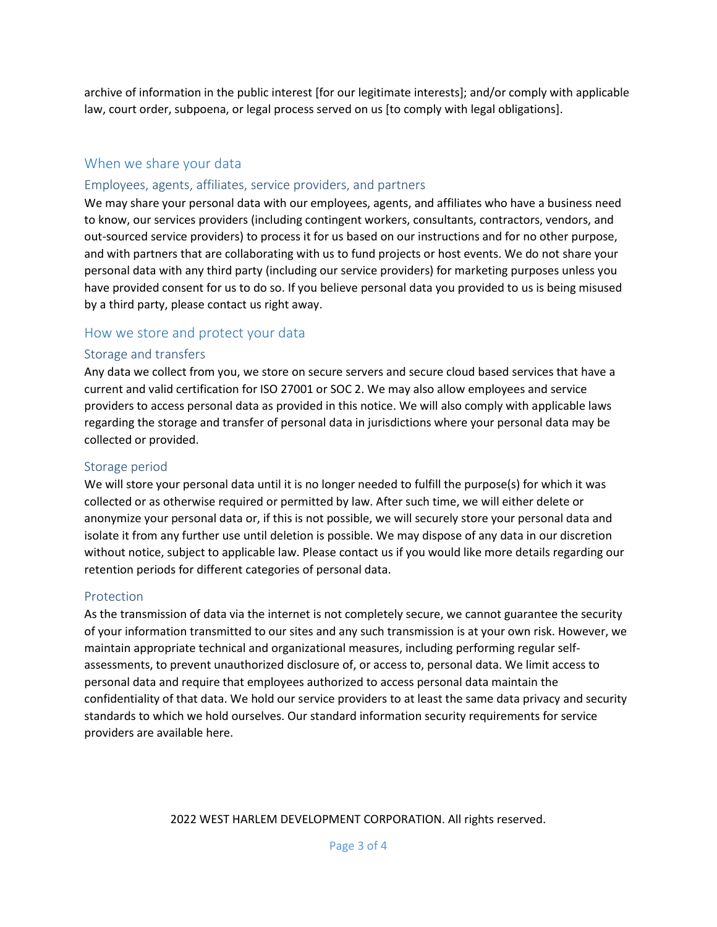archive of information in the public interest [for our legitimate interests]; and/or comply with applicable law, court order, subpoena, or legal process served on us [to comply with legal obligations].

## When we share your data

## Employees, agents, affiliates, service providers, and partners

We may share your personal data with our employees, agents, and affiliates who have a business need to know, our services providers (including contingent workers, consultants, contractors, vendors, and out-sourced service providers) to process it for us based on our instructions and for no other purpose, and with partners that are collaborating with us to fund projects or host events. We do not share your personal data with any third party (including our service providers) for marketing purposes unless you have provided consent for us to do so. If you believe personal data you provided to us is being misused by a third party, please contact us right away.

## How we store and protect your data

#### Storage and transfers

Any data we collect from you, we store on secure servers and secure cloud based services that have a current and valid certification for ISO 27001 or SOC 2. We may also allow employees and service providers to access personal data as provided in this notice. We will also comply with applicable laws regarding the storage and transfer of personal data in jurisdictions where your personal data may be collected or provided.

## Storage period

We will store your personal data until it is no longer needed to fulfill the purpose(s) for which it was collected or as otherwise required or permitted by law. After such time, we will either delete or anonymize your personal data or, if this is not possible, we will securely store your personal data and isolate it from any further use until deletion is possible. We may dispose of any data in our discretion without notice, subject to applicable law. Please contact us if you would like more details regarding our retention periods for different categories of personal data.

#### Protection

As the transmission of data via the internet is not completely secure, we cannot guarantee the security of your information transmitted to our sites and any such transmission is at your own risk. However, we maintain appropriate technical and organizational measures, including performing regular selfassessments, to prevent unauthorized disclosure of, or access to, personal data. We limit access to personal data and require that employees authorized to access personal data maintain the confidentiality of that data. We hold our service providers to at least the same data privacy and security standards to which we hold ourselves. Our standard information security requirements for service providers are available here.

#### 2022 WEST HARLEM DEVELOPMENT CORPORATION. All rights reserved.